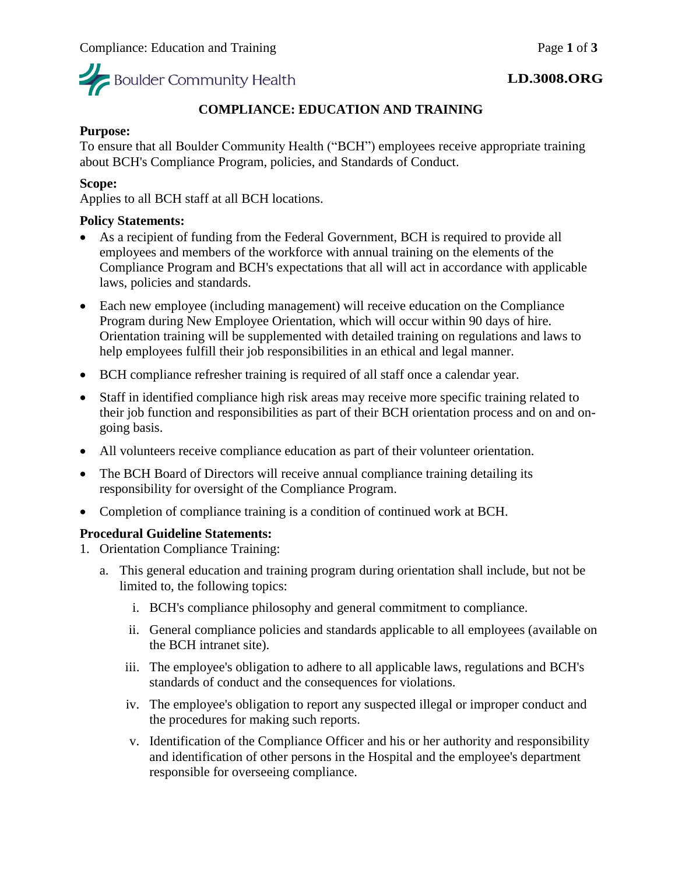

### **LD.3008.ORG**

# **COMPLIANCE: EDUCATION AND TRAINING**

## **Purpose:**

To ensure that all Boulder Community Health ("BCH") employees receive appropriate training about BCH's Compliance Program, policies, and Standards of Conduct.

# **Scope:**

Applies to all BCH staff at all BCH locations.

## **Policy Statements:**

- As a recipient of funding from the Federal Government, BCH is required to provide all employees and members of the workforce with annual training on the elements of the Compliance Program and BCH's expectations that all will act in accordance with applicable laws, policies and standards.
- Each new employee (including management) will receive education on the Compliance Program during New Employee Orientation, which will occur within 90 days of hire. Orientation training will be supplemented with detailed training on regulations and laws to help employees fulfill their job responsibilities in an ethical and legal manner.
- BCH compliance refresher training is required of all staff once a calendar year.
- Staff in identified compliance high risk areas may receive more specific training related to their job function and responsibilities as part of their BCH orientation process and on and ongoing basis.
- All volunteers receive compliance education as part of their volunteer orientation.
- The BCH Board of Directors will receive annual compliance training detailing its responsibility for oversight of the Compliance Program.
- Completion of compliance training is a condition of continued work at BCH.

# **Procedural Guideline Statements:**

- 1. Orientation Compliance Training:
	- a. This general education and training program during orientation shall include, but not be limited to, the following topics:
		- i. BCH's compliance philosophy and general commitment to compliance.
		- ii. General compliance policies and standards applicable to all employees (available on the BCH intranet site).
		- iii. The employee's obligation to adhere to all applicable laws, regulations and BCH's standards of conduct and the consequences for violations.
		- iv. The employee's obligation to report any suspected illegal or improper conduct and the procedures for making such reports.
		- v. Identification of the Compliance Officer and his or her authority and responsibility and identification of other persons in the Hospital and the employee's department responsible for overseeing compliance.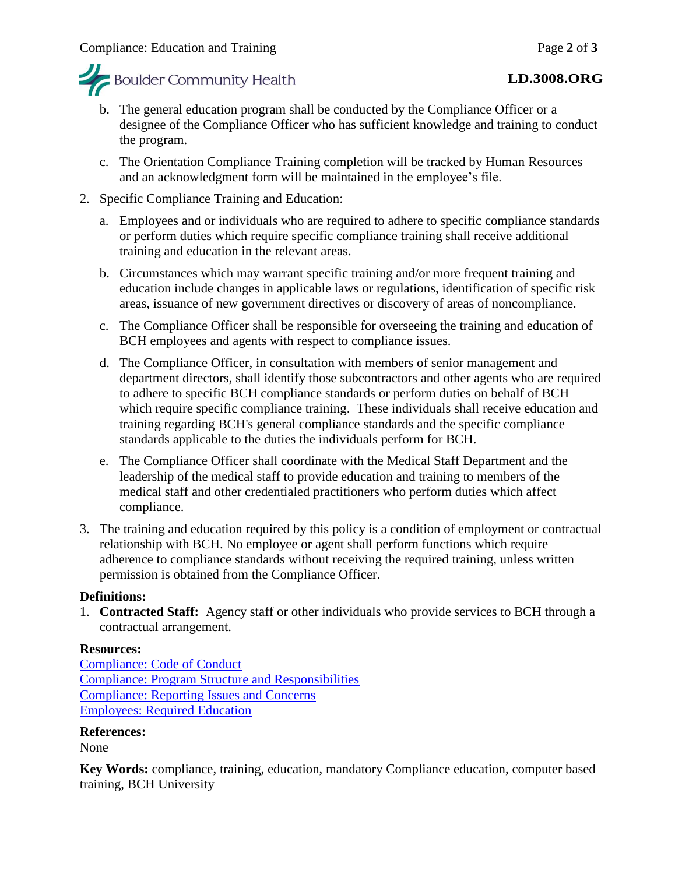

# **LD.3008.ORG**

- b. The general education program shall be conducted by the Compliance Officer or a designee of the Compliance Officer who has sufficient knowledge and training to conduct the program.
- c. The Orientation Compliance Training completion will be tracked by Human Resources and an acknowledgment form will be maintained in the employee's file.

# 2. Specific Compliance Training and Education:

- a. Employees and or individuals who are required to adhere to specific compliance standards or perform duties which require specific compliance training shall receive additional training and education in the relevant areas.
- b. Circumstances which may warrant specific training and/or more frequent training and education include changes in applicable laws or regulations, identification of specific risk areas, issuance of new government directives or discovery of areas of noncompliance.
- c. The Compliance Officer shall be responsible for overseeing the training and education of BCH employees and agents with respect to compliance issues.
- d. The Compliance Officer, in consultation with members of senior management and department directors, shall identify those subcontractors and other agents who are required to adhere to specific BCH compliance standards or perform duties on behalf of BCH which require specific compliance training. These individuals shall receive education and training regarding BCH's general compliance standards and the specific compliance standards applicable to the duties the individuals perform for BCH.
- e. The Compliance Officer shall coordinate with the Medical Staff Department and the leadership of the medical staff to provide education and training to members of the medical staff and other credentialed practitioners who perform duties which affect compliance.
- 3. The training and education required by this policy is a condition of employment or contractual relationship with BCH. No employee or agent shall perform functions which require adherence to compliance standards without receiving the required training, unless written permission is obtained from the Compliance Officer.

# **Definitions:**

1. **Contracted Staff:** Agency staff or other individuals who provide services to BCH through a contractual arrangement.

# **Resources:**

[Compliance: Code of Conduct](https://mybch.sharepoint.com/policies/Clinical%20Policy%20Repository/Compliance-Code%20of%20Conduct.pdf) [Compliance: Program Structure and Responsibilities](https://mybch.sharepoint.com/policies/Clinical%20Policy%20Repository/Compliance-Program%20Structure%20and%20Responsibilities.pdf) [Compliance: Reporting Issues and Concerns](https://mybch.sharepoint.com/policies/Clinical%20Policy%20Repository/Compliance-Reporting%20Issues%20and%20Concerns.pdf) [Employees: Required Education](https://mybch.sharepoint.com/policies/Clinical%20Policy%20Repository/Employees-Required%20Education.pdf)

# **References:**

None

**Key Words:** compliance, training, education, mandatory Compliance education, computer based training, BCH University